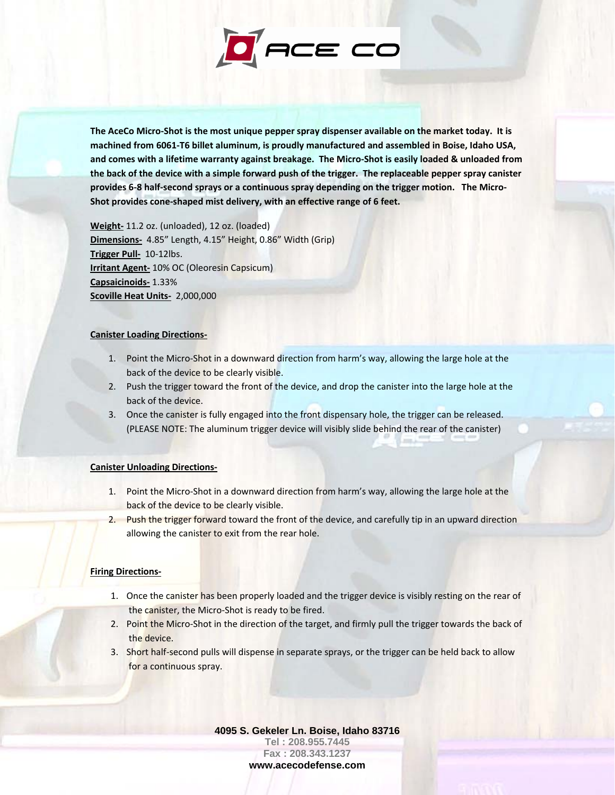

The AceCo Micro-Shot is the most unique pepper spray dispenser available on the market today. It is **machined from 6061‐T6 billet aluminum, is proudly manufactured and assembled in Boise, Idaho USA,** and comes with a lifetime warranty against breakage. The Micro-Shot is easily loaded & unloaded from the back of the device with a simple forward push of the trigger. The replaceable pepper spray canister provides 6-8 half-second sprays or a continuous spray depending on the trigger motion. The Micro-**Shot provides cone‐shaped mist delivery, with an effective range of 6 feet.** 

**Weight‐** 11.2 oz. (unloaded), 12 oz. (loaded) **Dimensions‐** 4.85" Length, 4.15" Height, 0.86" Width (Grip) **Trigger Pull‐** 10‐12lbs. **Irritant Agent‐** 10% OC (Oleoresin Capsicum) **Capsaicinoids‐** 1.33% **Scoville Heat Units‐** 2,000,000

## **Canister Loading Directions‐**

- 1. Point the Micro-Shot in a downward direction from harm's way, allowing the large hole at the back of the device to be clearly visible.
- 2. Push the trigger toward the front of the device, and drop the canister into the large hole at the back of the device.
- 3. Once the canister is fully engaged into the front dispensary hole, the trigger can be released. (PLEASE NOTE: The aluminum trigger device will visibly slide behind the rear of the canister)

## **Canister Unloading Directions‐**

- 1. Point the Micro‐Shot in a downward direction from harm's way, allowing the large hole at the back of the device to be clearly visible.
- 2. Push the trigger forward toward the front of the device, and carefully tip in an upward direction allowing the canister to exit from the rear hole.

## **Firing Directions‐**

- 1. Once the canister has been properly loaded and the trigger device is visibly resting on the rear of the canister, the Micro‐Shot is ready to be fired.
- 2. Point the Micro-Shot in the direction of the target, and firmly pull the trigger towards the back of the device.
- 3. Short half-second pulls will dispense in separate sprays, or the trigger can be held back to allow for a continuous spray.

**4095 S. Gekeler Ln. Boise, Idaho 83716 Tel : 208.955.7445 Fax : 208.343.1237 www.acecodefense.com**